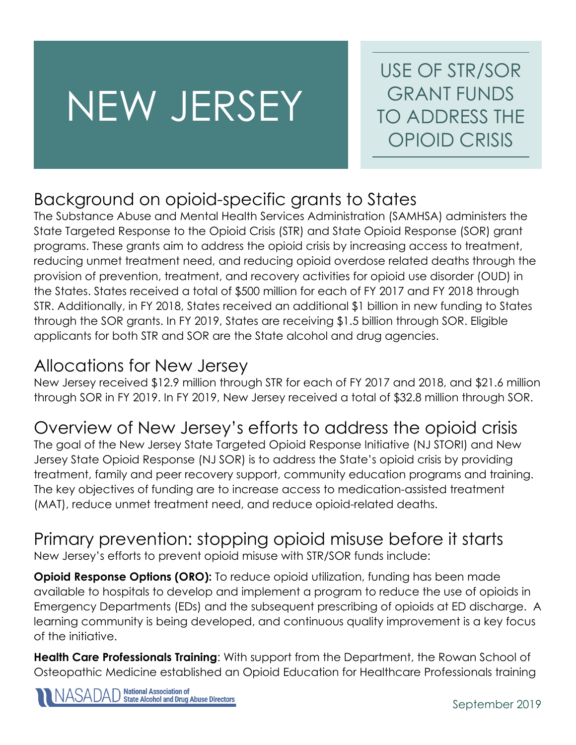# NEW JERSEY

USE OF STR/SOR GRANT FUNDS TO ADDRESS THE OPIOID CRISIS

#### Background on opioid-specific grants to States

The Substance Abuse and Mental Health Services Administration (SAMHSA) administers the State Targeted Response to the Opioid Crisis (STR) and State Opioid Response (SOR) grant programs. These grants aim to address the opioid crisis by increasing access to treatment, reducing unmet treatment need, and reducing opioid overdose related deaths through the provision of prevention, treatment, and recovery activities for opioid use disorder (OUD) in the States. States received a total of \$500 million for each of FY 2017 and FY 2018 through STR. Additionally, in FY 2018, States received an additional \$1 billion in new funding to States through the SOR grants. In FY 2019, States are receiving \$1.5 billion through SOR. Eligible applicants for both STR and SOR are the State alcohol and drug agencies.

#### Allocations for New Jersey

New Jersey received \$12.9 million through STR for each of FY 2017 and 2018, and \$21.6 million through SOR in FY 2019. In FY 2019, New Jersey received a total of \$32.8 million through SOR.

### Overview of New Jersey's efforts to address the opioid crisis

The goal of the New Jersey State Targeted Opioid Response Initiative (NJ STORI) and New Jersey State Opioid Response (NJ SOR) is to address the State's opioid crisis by providing treatment, family and peer recovery support, community education programs and training. The key objectives of funding are to increase access to medication-assisted treatment (MAT), reduce unmet treatment need, and reduce opioid-related deaths.

## Primary prevention: stopping opioid misuse before it starts

New Jersey's efforts to prevent opioid misuse with STR/SOR funds include:

**Opioid Response Options (ORO):** To reduce opioid utilization, funding has been made available to hospitals to develop and implement a program to reduce the use of opioids in Emergency Departments (EDs) and the subsequent prescribing of opioids at ED discharge. A learning community is being developed, and continuous quality improvement is a key focus of the initiative.

**Health Care Professionals Training**: With support from the Department, the Rowan School of Osteopathic Medicine established an Opioid Education for Healthcare Professionals training

**National Association of<br>State Alcohol and Drug Abuse Directors**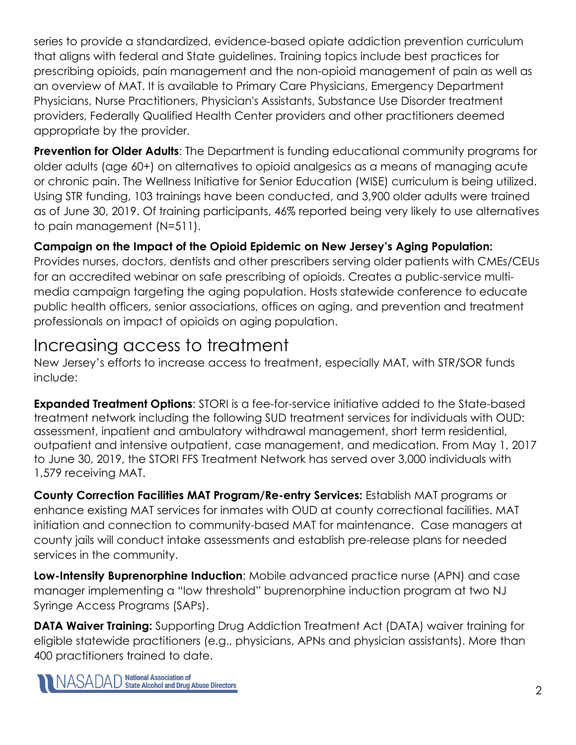series to provide a standardized, evidence-based opiate addiction prevention curriculum that aligns with federal and State guidelines. Training topics include best practices for prescribing opioids, pain management and the non-opioid management of pain as well as an overview of MAT. It is available to Primary Care Physicians, Emergency Department Physicians, Nurse Practitioners, Physician's Assistants, Substance Use Disorder treatment providers, Federally Qualified Health Center providers and other practitioners deemed appropriate by the provider.

**Prevention for Older Adults:** The Department is funding educational community programs for older adults (age 60+) on alternatives to opioid analgesics as a means of managing acute or chronic pain. The Wellness Initiative for Senior Education (WISE) curriculum is being utilized. Using STR funding, 103 trainings have been conducted, and 3,900 older adults were trained as of June 30, 2019. Of training participants, 46% reported being very likely to use alternatives to pain management (N=511).

#### **Campaign on the Impact of the Opioid Epidemic on New Jersey's Aging Population:**

Provides nurses, doctors, dentists and other prescribers serving older patients with CMEs/CEUs for an accredited webinar on safe prescribing of opioids. Creates a public-service multimedia campaign targeting the aging population. Hosts statewide conference to educate public health officers, senior associations, offices on aging, and prevention and treatment professionals on impact of opioids on aging population.

#### Increasing access to treatment

New Jersey's efforts to increase access to treatment, especially MAT, with STR/SOR funds include:

**Expanded Treatment Options**: STORI is a fee-for-service initiative added to the State-based treatment network including the following SUD treatment services for individuals with OUD: assessment, inpatient and ambulatory withdrawal management, short term residential, outpatient and intensive outpatient, case management, and medication. From May 1, 2017 to June 30, 2019, the STORI FFS Treatment Network has served over 3,000 individuals with 1,579 receiving MAT.

**County Correction Facilities MAT Program/Re-entry Services:** Establish MAT programs or enhance existing MAT services for inmates with OUD at county correctional facilities. MAT initiation and connection to community-based MAT for maintenance. Case managers at county jails will conduct intake assessments and establish pre-release plans for needed services in the community.

**Low-Intensity Buprenorphine Induction**: Mobile advanced practice nurse (APN) and case manager implementing a "low threshold" buprenorphine induction program at two NJ Syringe Access Programs (SAPs).

**DATA Waiver Training:** Supporting Drug Addiction Treatment Act (DATA) waiver training for eligible statewide practitioners (e.g., physicians, APNs and physician assistants). More than 400 practitioners trained to date.

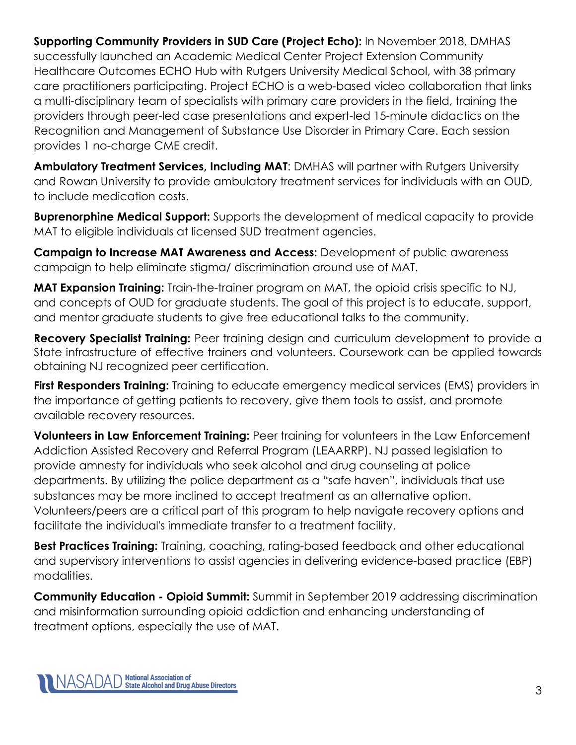**Supporting Community Providers in SUD Care (Project Echo):** In November 2018, DMHAS successfully launched an Academic Medical Center Project Extension Community Healthcare Outcomes ECHO Hub with Rutgers University Medical School, with 38 primary care practitioners participating. Project ECHO is a web-based video collaboration that links a multi-disciplinary team of specialists with primary care providers in the field, training the providers through peer-led case presentations and expert-led 15-minute didactics on the Recognition and Management of Substance Use Disorder in Primary Care. Each session provides 1 no-charge CME credit.

**Ambulatory Treatment Services, Including MAT**: DMHAS will partner with Rutgers University and Rowan University to provide ambulatory treatment services for individuals with an OUD, to include medication costs.

**Buprenorphine Medical Support:** Supports the development of medical capacity to provide MAT to eligible individuals at licensed SUD treatment agencies.

**Campaign to Increase MAT Awareness and Access:** Development of public awareness campaign to help eliminate stigma/ discrimination around use of MAT.

**MAT Expansion Training:** Train-the-trainer program on MAT, the opioid crisis specific to NJ, and concepts of OUD for graduate students. The goal of this project is to educate, support, and mentor graduate students to give free educational talks to the community.

**Recovery Specialist Training:** Peer training design and curriculum development to provide a State infrastructure of effective trainers and volunteers. Coursework can be applied towards obtaining NJ recognized peer certification.

**First Responders Training:** Training to educate emergency medical services (EMS) providers in the importance of getting patients to recovery, give them tools to assist, and promote available recovery resources.

**Volunteers in Law Enforcement Training:** Peer training for volunteers in the Law Enforcement Addiction Assisted Recovery and Referral Program (LEAARRP). NJ passed legislation to provide amnesty for individuals who seek alcohol and drug counseling at police departments. By utilizing the police department as a "safe haven", individuals that use substances may be more inclined to accept treatment as an alternative option. Volunteers/peers are a critical part of this program to help navigate recovery options and facilitate the individual's immediate transfer to a treatment facility.

**Best Practices Training:** Training, coaching, rating-based feedback and other educational and supervisory interventions to assist agencies in delivering evidence-based practice (EBP) modalities.

**Community Education - Opioid Summit:** Summit in September 2019 addressing discrimination and misinformation surrounding opioid addiction and enhancing understanding of treatment options, especially the use of MAT.

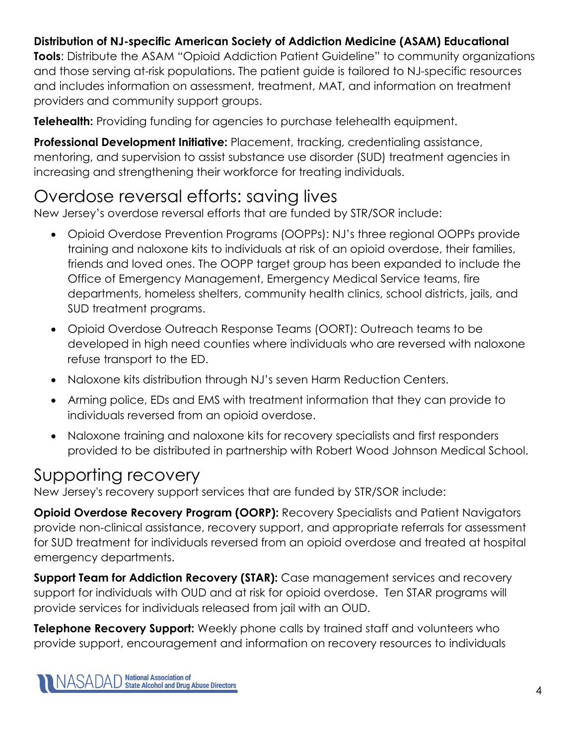#### **Distribution of NJ-specific American Society of Addiction Medicine (ASAM) Educational**

**Tools**: Distribute the ASAM "Opioid Addiction Patient Guideline" to community organizations and those serving at-risk populations. The patient guide is tailored to NJ-specific resources and includes information on assessment, treatment, MAT, and information on treatment providers and community support groups.

**Telehealth:** Providing funding for agencies to purchase telehealth equipment.

**Professional Development Initiative:** Placement, tracking, credentialing assistance, mentoring, and supervision to assist substance use disorder (SUD) treatment agencies in increasing and strengthening their workforce for treating individuals.

#### Overdose reversal efforts: saving lives

New Jersey's overdose reversal efforts that are funded by STR/SOR include:

- Opioid Overdose Prevention Programs (OOPPs): NJ's three regional OOPPs provide training and naloxone kits to individuals at risk of an opioid overdose, their families, friends and loved ones. The OOPP target group has been expanded to include the Office of Emergency Management, Emergency Medical Service teams, fire departments, homeless shelters, community health clinics, school districts, jails, and SUD treatment programs.
- Opioid Overdose Outreach Response Teams (OORT): Outreach teams to be developed in high need counties where individuals who are reversed with naloxone refuse transport to the ED.
- Naloxone kits distribution through NJ's seven Harm Reduction Centers.
- Arming police, EDs and EMS with treatment information that they can provide to individuals reversed from an opioid overdose.
- Naloxone training and naloxone kits for recovery specialists and first responders provided to be distributed in partnership with Robert Wood Johnson Medical School.

#### Supporting recovery

New Jersey's recovery support services that are funded by STR/SOR include:

**Opioid Overdose Recovery Program (OORP):** Recovery Specialists and Patient Navigators provide non-clinical assistance, recovery support, and appropriate referrals for assessment for SUD treatment for individuals reversed from an opioid overdose and treated at hospital emergency departments.

**Support Team for Addiction Recovery (STAR):** Case management services and recovery support for individuals with OUD and at risk for opioid overdose. Ten STAR programs will provide services for individuals released from jail with an OUD.

**Telephone Recovery Support:** Weekly phone calls by trained staff and volunteers who provide support, encouragement and information on recovery resources to individuals